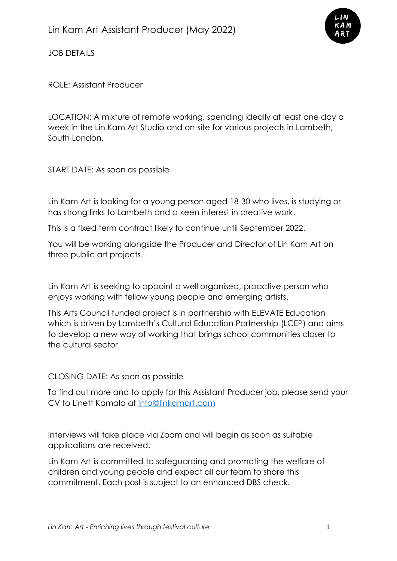

JOB DETAILS

ROLE: Assistant Producer

LOCATION: A mixture of remote working, spending ideally at least one day a week in the Lin Kam Art Studio and on-site for various projects in Lambeth, South London.

START DATE: As soon as possible

Lin Kam Art is looking for a young person aged 18-30 who lives, is studying or has strong links to Lambeth and a keen interest in creative work.

This is a fixed term contract likely to continue until September 2022.

You will be working alongside the Producer and Director of Lin Kam Art on three public art projects.

Lin Kam Art is seeking to appoint a well organised, proactive person who enjoys working with fellow young people and emerging artists.

This Arts Council funded project is in partnership with ELEVATE Education which is driven by Lambeth's Cultural Education Partnership (LCEP) and aims to develop a new way of working that brings school communities closer to the cultural sector.

## CLOSING DATE: As soon as possible

To find out more and to apply for this Assistant Producer job, please send your CV to Linett Kamala at [info@linkamart.com](mailto:info@linkamart.com)

Interviews will take place via Zoom and will begin as soon as suitable applications are received.

Lin Kam Art is committed to safeguarding and promoting the welfare of children and young people and expect all our team to share this commitment. Each post is subject to an enhanced DBS check.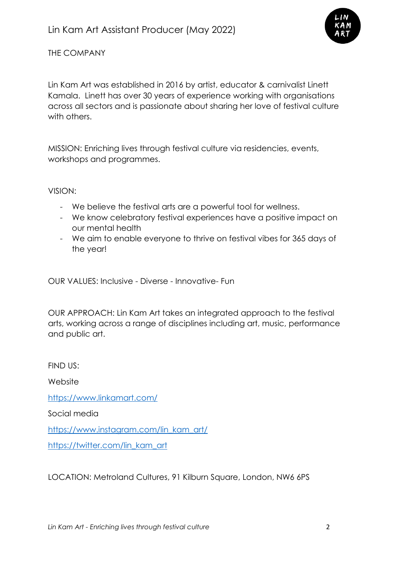

THE COMPANY

Lin Kam Art was established in 2016 by artist, educator & carnivalist Linett Kamala. Linett has over 30 years of experience working with organisations across all sectors and is passionate about sharing her love of festival culture with others.

MISSION: Enriching lives through festival culture via residencies, events, workshops and programmes.

VISION:

- We believe the festival arts are a powerful tool for wellness.
- We know celebratory festival experiences have a positive impact on our mental health
- We aim to enable everyone to thrive on festival vibes for 365 days of the year!

OUR VALUES: Inclusive - Diverse - Innovative- Fun

OUR APPROACH: Lin Kam Art takes an integrated approach to the festival arts, working across a range of disciplines including art, music, performance and public art.

FIND US:

**Website** 

<https://www.linkamart.com/>

Social media

[https://www.instagram.com/lin\\_kam\\_art/](https://www.instagram.com/lin_kam_art/)

[https://twitter.com/lin\\_kam\\_art](https://twitter.com/lin_kam_art)

LOCATION: Metroland Cultures, 91 Kilburn Square, London, NW6 6PS